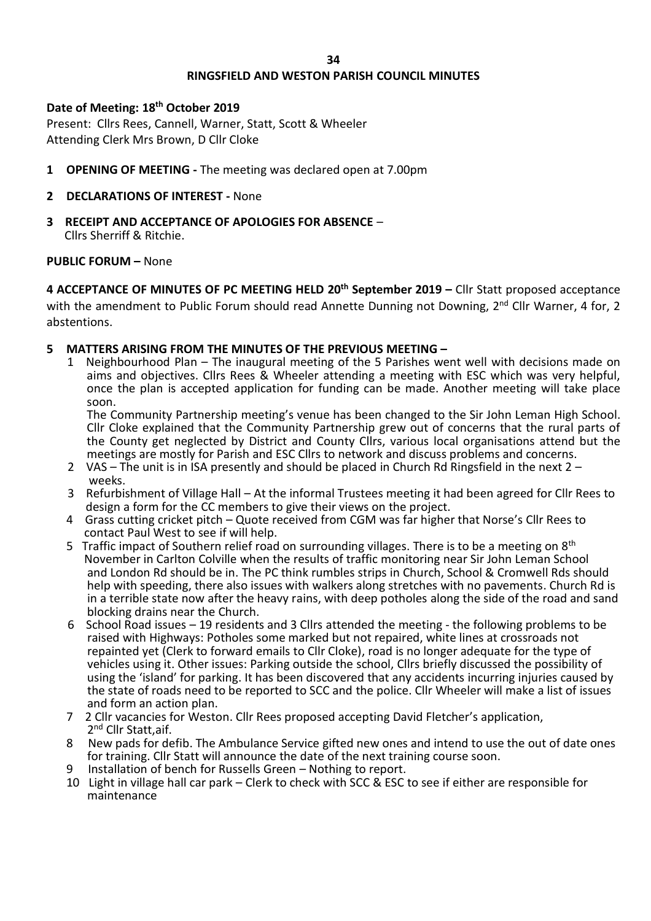#### **34**

# **RINGSFIELD AND WESTON PARISH COUNCIL MINUTES**

## **Date of Meeting: 18th October 2019**

Present: Cllrs Rees, Cannell, Warner, Statt, Scott & Wheeler Attending Clerk Mrs Brown, D Cllr Cloke

**1 OPENING OF MEETING -** The meeting was declared open at 7.00pm

# **2 DECLARATIONS OF INTEREST -** None

**3 RECEIPT AND ACCEPTANCE OF APOLOGIES FOR ABSENCE** – Cllrs Sherriff & Ritchie.

### **PUBLIC FORUM –** None

**4 ACCEPTANCE OF MINUTES OF PC MEETING HELD 20th September 2019 –** Cllr Statt proposed acceptance with the amendment to Public Forum should read Annette Dunning not Downing, 2<sup>nd</sup> Cllr Warner, 4 for, 2 abstentions.

### **5 MATTERS ARISING FROM THE MINUTES OF THE PREVIOUS MEETING –**

1 Neighbourhood Plan – The inaugural meeting of the 5 Parishes went well with decisions made on aims and objectives. Cllrs Rees & Wheeler attending a meeting with ESC which was very helpful, once the plan is accepted application for funding can be made. Another meeting will take place soon.

The Community Partnership meeting's venue has been changed to the Sir John Leman High School. Cllr Cloke explained that the Community Partnership grew out of concerns that the rural parts of the County get neglected by District and County Cllrs, various local organisations attend but the meetings are mostly for Parish and ESC Cllrs to network and discuss problems and concerns.

- 2 VAS The unit is in ISA presently and should be placed in Church Rd Ringsfield in the next 2 weeks.
- 3 Refurbishment of Village Hall At the informal Trustees meeting it had been agreed for Cllr Rees to design a form for the CC members to give their views on the project.
- 4 Grass cutting cricket pitch Quote received from CGM was far higher that Norse's Cllr Rees to contact Paul West to see if will help.
- 5 Traffic impact of Southern relief road on surrounding villages. There is to be a meeting on 8<sup>th</sup> November in Carlton Colville when the results of traffic monitoring near Sir John Leman School and London Rd should be in. The PC think rumbles strips in Church, School & Cromwell Rds should help with speeding, there also issues with walkers along stretches with no pavements. Church Rd is in a terrible state now after the heavy rains, with deep potholes along the side of the road and sand blocking drains near the Church.<br>6 School Road issues – 19 residents
- School Road issues 19 residents and 3 Cllrs attended the meeting the following problems to be raised with Highways: Potholes some marked but not repaired, white lines at crossroads not repainted yet (Clerk to forward emails to Cllr Cloke), road is no longer adequate for the type of vehicles using it. Other issues: Parking outside the school, Cllrs briefly discussed the possibility of using the 'island' for parking. It has been discovered that any accidents incurring injuries caused by the state of roads need to be reported to SCC and the police. Cllr Wheeler will make a list of issues and form an action plan.
- 7 2 Cllr vacancies for Weston. Cllr Rees proposed accepting David Fletcher's application, 2<sup>nd</sup> Cllr Statt,aif.
- 8 New pads for defib. The Ambulance Service gifted new ones and intend to use the out of date ones for training. Cllr Statt will announce the date of the next training course soon.
- Installation of bench for Russells Green Nothing to report.
- 10 Light in village hall car park Clerk to check with SCC & ESC to see if either are responsible for maintenance